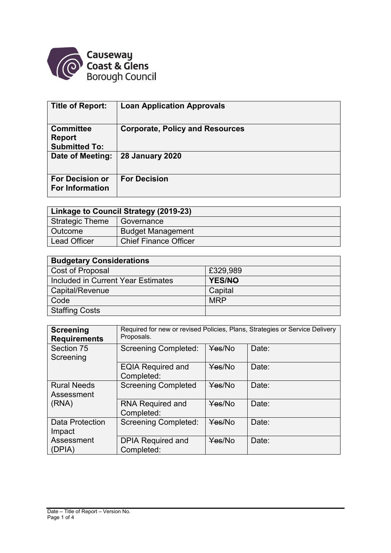

| Title of Report:                                          | <b>Loan Application Approvals</b>      |
|-----------------------------------------------------------|----------------------------------------|
| <b>Committee</b><br><b>Report</b><br><b>Submitted To:</b> | <b>Corporate, Policy and Resources</b> |
| Date of Meeting:                                          | <b>28 January 2020</b>                 |
| <b>For Decision or</b><br><b>For Information</b>          | <b>For Decision</b>                    |

| Linkage to Council Strategy (2019-23) |                              |  |  |  |  |  |  |
|---------------------------------------|------------------------------|--|--|--|--|--|--|
| Strategic Theme                       | Governance                   |  |  |  |  |  |  |
| Outcome                               | <b>Budget Management</b>     |  |  |  |  |  |  |
| Lead Officer                          | <b>Chief Finance Officer</b> |  |  |  |  |  |  |

| <b>Budgetary Considerations</b>    |            |  |  |  |  |  |
|------------------------------------|------------|--|--|--|--|--|
| Cost of Proposal                   | £329,989   |  |  |  |  |  |
| Included in Current Year Estimates | YES/NO     |  |  |  |  |  |
| Capital/Revenue                    | Capital    |  |  |  |  |  |
| Code                               | <b>MRP</b> |  |  |  |  |  |
| <b>Staffing Costs</b>              |            |  |  |  |  |  |

| <b>Screening</b><br><b>Requirements</b>   | Required for new or revised Policies, Plans, Strategies or Service Delivery<br>Proposals. |        |       |  |  |  |  |  |  |  |
|-------------------------------------------|-------------------------------------------------------------------------------------------|--------|-------|--|--|--|--|--|--|--|
| Section 75<br>Screening                   | <b>Screening Completed:</b>                                                               | Yes/No | Date: |  |  |  |  |  |  |  |
|                                           | <b>EQIA Required and</b><br>Completed:                                                    | Yes/No | Date: |  |  |  |  |  |  |  |
| <b>Rural Needs</b><br>Assessment<br>(RNA) | <b>Screening Completed</b>                                                                | Yes/No | Date: |  |  |  |  |  |  |  |
|                                           | <b>RNA Required and</b><br>Completed:                                                     | Yes/No | Date: |  |  |  |  |  |  |  |
| Data Protection<br>Impact                 | <b>Screening Completed:</b>                                                               | Yes/No | Date: |  |  |  |  |  |  |  |
| Assessment<br>(DPIA)                      | <b>DPIA Required and</b><br>Completed:                                                    | Yes/No | Date: |  |  |  |  |  |  |  |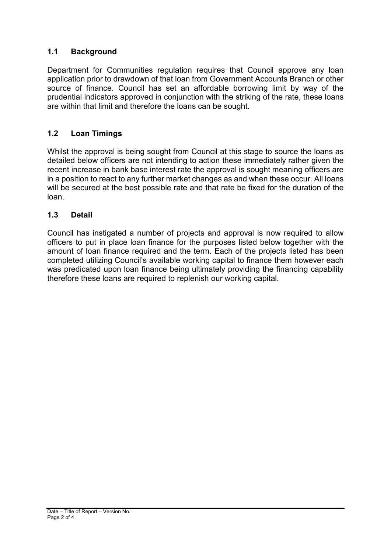# **1.1 Background**

Department for Communities regulation requires that Council approve any loan application prior to drawdown of that loan from Government Accounts Branch or other source of finance. Council has set an affordable borrowing limit by way of the prudential indicators approved in conjunction with the striking of the rate, these loans are within that limit and therefore the loans can be sought.

## **1.2 Loan Timings**

Whilst the approval is being sought from Council at this stage to source the loans as detailed below officers are not intending to action these immediately rather given the recent increase in bank base interest rate the approval is sought meaning officers are in a position to react to any further market changes as and when these occur. All loans will be secured at the best possible rate and that rate be fixed for the duration of the loan.

#### **1.3 Detail**

Council has instigated a number of projects and approval is now required to allow officers to put in place loan finance for the purposes listed below together with the amount of loan finance required and the term. Each of the projects listed has been completed utilizing Council's available working capital to finance them however each was predicated upon loan finance being ultimately providing the financing capability therefore these loans are required to replenish our working capital.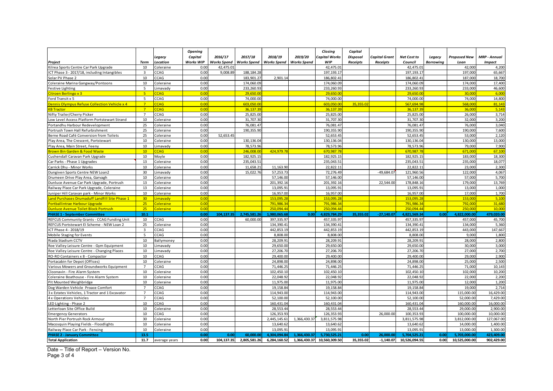|                                                     |                         |               | <b>Opening</b>   |                    |                    |                         |                    | Closing                  | Capital   |               |                          |                  |                     |                     |
|-----------------------------------------------------|-------------------------|---------------|------------------|--------------------|--------------------|-------------------------|--------------------|--------------------------|-----------|---------------|--------------------------|------------------|---------------------|---------------------|
|                                                     |                         | Legacy        | Capital          | 2016/17            | 2017/18            | 2018/19                 | 2019/20            | apital Works             | Disposal  | Capital Grant | Net Cost to              | Legacy           | <b>Proposed New</b> | <b>MRP - Annual</b> |
| Project                                             | Term                    | Location      | <b>Works WIP</b> | <b>Works Spend</b> | <b>Works Spend</b> | <b>Works Spend</b>      | <b>Works Spend</b> | WIP                      | Receipts  | Receipts      | Council                  | <b>Borrowing</b> | Loan                | <b>Impact</b>       |
| Kilrea Sports Centre Car Park Upgrade               | 10                      | Coleraine     | 0.00             | 42,475.0           |                    |                         |                    | 42,475.01                |           |               | 42,475.01                |                  | 42,000              | 4,200               |
| ICT Phase 3 - 2017/18, including Intangibles        | $\overline{\mathbf{3}}$ | CAG           | 0.00             | 9,008.89           | 188,184.28         |                         |                    | 197.193.17               |           |               | 197.193.17               |                  | 197,000             | 65,667              |
| Solar PV Phase 2                                    | 10                      | CCAG          | 0.00             |                    | 183,901.27         | 2,901.14                |                    | 186,802.41               |           |               | 186,802.41               |                  | 187,000             | 18,700              |
| Coleraine Marina Gangway/Pontoons                   | 10                      | Coleraine     | 0.00             |                    | 174,060.09         |                         |                    | 174,060.09               |           |               | 174,060.09               |                  | 174,000             | 17,400              |
| Festive Lighting                                    | 5                       | imavady       | 0.00             |                    | 233,260.93         |                         |                    | 233,260.93               |           |               | 233,260.93               |                  | 233,000             | 46,600              |
| Citroen Berlingo x 3                                | 5 <sup>2</sup>          | <b>CAG</b>    | 0.00             |                    | 29.650.00          |                         |                    | 29.650.00                |           |               | 29.650.0                 |                  | 30,000              | 6.00                |
| Ford Transit x 5                                    | 5                       | CCAG          | 0.00             |                    | 74,000.00          |                         |                    | 74,000.00                |           |               | 74,000.00                |                  | 74,000              | 14,800              |
| <b>Dennis Olympus Refuse Collection Vehicle x 4</b> | $\overline{7}$          | CAG           | 0.00             |                    | 603.050.0          |                         |                    | 603.050.0                | 35,355.0  |               | 567,694.9                |                  | 568,000             | 81,143              |
| <b>B</b> Tractor                                    | $\overline{7}$          | CAG           | 0.00             |                    | 36.137.39          |                         |                    | 36.137.39                |           |               | 36.137.3                 |                  | 36,000              | 5.143               |
| Nifty Trailer/Cherry Picker                         | $\overline{7}$          | CAG           | 0.00             |                    | 25,825.00          |                         |                    | 25,825.00                |           |               | 25,825.00                |                  | 26,000              | 3,714               |
| Low Level Access Platform Portstewart Strand        | 10                      | Coleraine     | 0.00             |                    | 31,707.30          |                         |                    | 31,707.30                |           |               | 31,707.30                |                  | 32,000              | 3,200               |
| Portandhu Harbour Redevelopment                     | 25                      | Coleraine     | 0.00             |                    | 76,081.47          |                         |                    | 76,081.47                |           |               | 76,081.47                |                  | 76,000              | 3,040               |
| Portrush Town Hall Refurbishment                    | 25                      | Coleraine     | 0.00             |                    | 190,355.90         |                         |                    | 190,355.90               |           |               | 190,355.90               |                  | 190,000             | 7,600               |
| Berne Road Café Conversion from Toilets             | 25                      | Coleraine     | 0.00             | 52,653.45          |                    |                         |                    | 52,653.45                |           |               | 52,653.45                |                  | 53,000              | 2,120               |
| Play Area, The Crescent, Portstewart                | 10                      | Coleraine     | 0.00             |                    | 130,136.04         |                         |                    | 130,136.04               |           |               | 130, 136.04              |                  | 130,000             | 13,000              |
| Play Area, Main Street, Feeny                       | 10                      | .imavady      | 0.00             |                    | 78,573.96          |                         |                    | 78,573.96                |           |               | 78,573.96                |                  | 79,000              | 7,900               |
| <b>Brown Bin Garden &amp; Food Waste</b>            | 10                      | CAG           | 0.00             |                    | 246.008.0          | 424,979.78              |                    | 670,987.78               |           |               | 670,987.7                |                  | 671,000             | 67,100              |
| Cushendall Caravan Park Upgrade                     | 10                      | Moyle         | 0.00             |                    | 182.925.15         |                         |                    | 182.925.15               |           |               | 182.925.15               |                  | 183.000             | 18,300              |
| Car Parks - Phase 1 Upgrades                        | 13                      | Coleraine     | 0.00             |                    | 235,043.51         |                         |                    | 235,043.51               |           |               | 235,043.5                |                  | 235,000             | 18,077              |
| Carrick Dhu - Minor Works                           | 10                      | Coleraine     | 0.00             |                    | 11,658.21          | 11,163.90               |                    | 22,822.11                |           |               | 22,822.1                 |                  | 23,000              | 2,300               |
| Dungiven Sports Centre NEW Loan2                    | 30                      | .imavady      | 0.00             |                    | 15,022.76          | 57,253.73               |                    | 72,276.49                |           | $-49,684.07$  | 121,960.56               |                  | 122,000             | 4,067               |
| Drumeen Drive Play Area, Garvagh                    | 10                      | Coleraine     | 0.00             |                    |                    | 57,146.00               |                    | 57,146.00                |           |               | 57,146.00                |                  | 57,000              | 5,700               |
| Dunluce Avenue Car Park Upgrade, Portrush           | 13                      | Coleraine     | 0.00             |                    |                    | 201,392.16              |                    | 201,392.16               |           | 22,544.00     | 178,848.16               |                  | 179,000             | 13,769              |
| Railway Place Car Park Upgrade, Coleraine           | 13                      | Coleraine     | 0.00             |                    |                    | 13,095.91               |                    | 13,095.91                |           |               | 13,095.91                |                  | 13,000              | 1,000               |
| uniper Hill Caravan park - Minor Works              | 10                      | Coleraine     | 0.00             |                    |                    | 16,957.0                |                    | 16,957.00                |           |               | 16,957.00                |                  | 17.000              | 1,700               |
|                                                     | 30 <sub>2</sub>         |               | 0.00             |                    |                    |                         |                    |                          |           |               |                          |                  | 153,000             | 5,100               |
| and Purchases Drumaduff Landfill Site Phase 1       |                         | imavady       |                  |                    |                    | 153,095.2               |                    | 153,095.28               |           |               | 153,095.2                |                  |                     |                     |
| <b>Ortballintrae Harbour Upgrade</b>                | 25                      | Coleraine     | 0.00<br>0.00     |                    |                    | 791,986.34<br>250.094.4 |                    | 791,986.34<br>250.094.44 |           |               | 791,986.34<br>250.094.44 |                  | 792,000<br>250,000  | 31,680<br>10,000    |
| <b>Uunluce Avenue Toilet Block Portrush</b>         | 25                      | Coleraine     |                  | 104.137.3          |                    |                         | 0.00               |                          |           | $-27,140.07$  | 4.821.569.34             | 0.00             | 4.822.000.00        | 479.020.00          |
| <b>PHASE 1 - September Committee</b>                | 10.1                    |               | 0.00             |                    | 2,745,581.26       | 1.980.065.6             |                    | 4,829,784.29             | 35,355.02 |               |                          |                  |                     |                     |
| REFCUS Community Grants - CCAG Funding Unit         | 10                      | CAG           | 0.00             |                    | 60,000.00          | 397,335.97              |                    | 457,335.97               |           |               | 457,335.97               |                  | 457,000             | 45,700              |
| REFCUS Portstewart EI Scheme - NEW Loan 2           | 25                      | Coleraine     | 0.00             |                    |                    | 134,390.4               |                    | 134,390.41               |           |               | 134,390.4                |                  | 134,000             | 5,360               |
| ICT Phase 4 - 2018/19                               | $\overline{\mathbf{3}}$ | CAG           | 0.00             |                    |                    | 442,853.19              |                    | 442,853.19               |           |               | 442,853.19               |                  | 443,000             | 147,667             |
| Mobile Staging for Events                           | 5                       | CAG           | 0.00             |                    |                    | 8,808.00                |                    | 8,808.00                 |           |               | 8,808.00                 |                  | 9,000               | 1,800               |
| Riada Stadium CCTV                                  | 10                      | Ballymoney    | 0.00             |                    |                    | 28,209.9                |                    | 28,209.91                |           |               | 28,209.91                |                  | 28,000              | 2,800               |
| Roe Valley Leisure Centre - Gym Equipment           | 10                      | .imavady      | 0.00             |                    |                    | 29,650.00               |                    | 29,650.00                |           |               | 29,650.00                |                  | 30,000              | 3,000               |
| Roe Valley Leisure Centre - Changing Places         | 10                      | imavady       | 0.00             |                    |                    | 27,206.70               |                    | 27,206.70                |           |               | 27,206.70                |                  | 27,000              | 2,700               |
| RO-RO Containers x 8 - Compactor                    | 10                      | CCAG          | 0.00             |                    |                    | 29,400.00               |                    | 29,400.00                |           |               | 29,400.00                |                  | 29,000              | 2,900               |
| Portacabin for Depot (Offices)                      | 10                      | Coleraine     | 0.00             |                    |                    | 24,898.0                |                    | 24,898.00                |           |               | 24,898.00                |                  | 25,000              | 2,500               |
| Various Mowers and Groundworks Equipment            | $\overline{7}$          | CAG           | 0.00             |                    |                    | 71,446.2                |                    | 71,446.25                |           |               | 71,446.25                |                  | 71,000              | 10,143              |
| Cloonavin - Fire Alarm System                       | 10                      | Coleraine     | 0.00             |                    |                    | 102,450.1               |                    | 102,450.10               |           |               | 102,450.10               |                  | 102,000             | 10,200              |
| Coleraine Boathouse - Fire Alarm System             | 10                      | Coleraine     | 0.00             |                    |                    | 22,048.92               |                    | 22,048.92                |           |               | 22,048.92                |                  | 22,000              | 2,200               |
| Pit Mounted Weighbridge                             | 10                      | Coleraine     | 0.00             |                    |                    | 11,975.0                |                    | 11,975.00                |           |               | 11,975.00                |                  | 12,000              | 1,200               |
| Dog Warden Vehicle Proace Comfort                   | $\overline{7}$          | CAG           | 0.00             |                    |                    | 19,158.84               |                    | 19.158.8                 |           |               | 19,158.84                |                  | 19,000              | 2,714               |
| 3 x Estates Vehicles, 1 Tractor and 1 Excavator     | $\overline{7}$          | CAG           | 0.00             |                    |                    | 114,943.00              |                    | 114,943.00               |           |               | 114,943.00               |                  | 115,000.00          | 16,429.00           |
| 4 x Operations Vehicles                             | $\overline{7}$          | CAG           | 0.00             |                    |                    | 52,100.0                |                    | 52,100.00                |           |               | 52,100.00                |                  | 52,000.00           | 7,429.00            |
| LED Lighting - Phase 2                              | 10                      | CAG           | 0.00             |                    |                    | 160.431.0               |                    | 160.431.0                |           |               | 160.431.04               |                  | 160.000.00          | 16.000.00           |
| etterloan Site Office Build.                        | 10                      | Coleraine     | 0.00             |                    |                    | 28,553.4                |                    | 28,553.44                |           |               | 28,553.44                |                  | 29,000.00           | 2,900.00            |
| <b>Emergency Generators</b>                         | 10                      | CCAG          | 0.00             |                    |                    | 126,353.9               |                    | 126,353.93               |           | 26,000.00     | 100,353.93               |                  | 100,000.00          | 10,000.00           |
| North Pier Portrush Rock Armour                     | 30                      | Coleraine     | 0.00             |                    |                    | 2,445,145.61            | 1,366,430.37       | 3,811,575.98             |           |               | 3,811,575.98             |                  | 3,812,000.00        | 127,067.00          |
| Macosquin Playing Fields - Floodlights              | 10                      | Coleraine     | 0.00             |                    |                    | 13,640.62               |                    | 13,640.62                |           |               | 13,640.62                |                  | 14,000.00           | 1,400.00            |
| Railway Place Car Park - Fencing                    | 10                      | Coleraine     | 0.00             |                    |                    | 13,095.9                |                    | 13,095.91                |           |               | 13,095.91                |                  | 13,000.00           | 1,300.00            |
| <b>PHASE 2 - January Committee</b>                  | 13.5                    |               | 0.00             | 0.00               | 60,000.00          | 4.304.094.84            | 1,366,430.37       | 5.730.525.21             | 0.00      | 26.000.00     | 5,704,525.21             | 0.00             | 5,703,000.00        | 423.409.00          |
| <b>Total Application</b>                            | 11.7                    | average years | 0.00             | 104.137.35         | 2.805.581.26       | 6.284.160.52            | 1.366.430.37       | 10.560.309.50            | 35.355.02 | $-1.140.07$   | 10.526.094.55            | 0.00             | 10.525.000.00       | 902.429.00          |

Date – Title of Report – Version No. Page 3 of 4